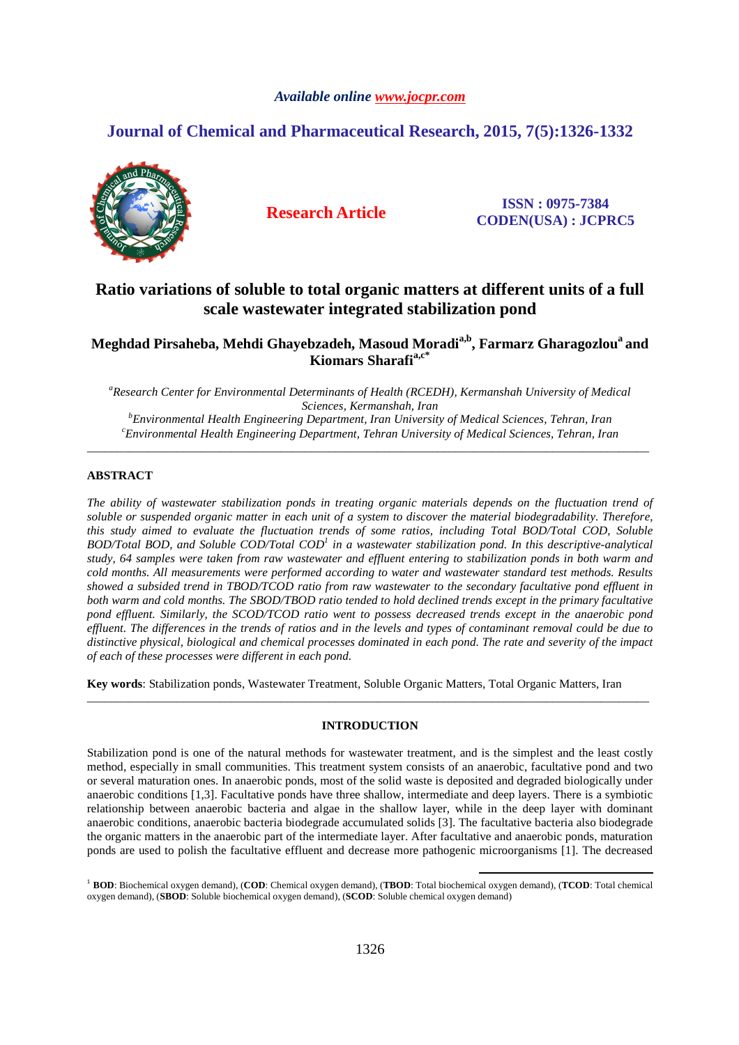# *Available online www.jocpr.com*

# **Journal of Chemical and Pharmaceutical Research, 2015, 7(5):1326-1332**



**Research Article ISSN : 0975-7384 CODEN(USA) : JCPRC5**

# **Ratio variations of soluble to total organic matters at different units of a full scale wastewater integrated stabilization pond**

# **Meghdad Pirsaheba, Mehdi Ghayebzadeh, Masoud Moradia,b, Farmarz Gharagozlou<sup>a</sup>and Kiomars Sharafia,c\***

*<sup>a</sup>Research Center for Environmental Determinants of Health (RCEDH), Kermanshah University of Medical Sciences, Kermanshah, Iran <sup>b</sup>Environmental Health Engineering Department, Iran University of Medical Sciences, Tehran, Iran <sup>c</sup>Environmental Health Engineering Department, Tehran University of Medical Sciences, Tehran, Iran*

\_\_\_\_\_\_\_\_\_\_\_\_\_\_\_\_\_\_\_\_\_\_\_\_\_\_\_\_\_\_\_\_\_\_\_\_\_\_\_\_\_\_\_\_\_\_\_\_\_\_\_\_\_\_\_\_\_\_\_\_\_\_\_\_\_\_\_\_\_\_\_\_\_\_\_\_\_\_\_\_\_\_\_\_\_\_\_\_\_\_\_\_\_

## **ABSTRACT**

*The ability of wastewater stabilization ponds in treating organic materials depends on the fluctuation trend of soluble or suspended organic matter in each unit of a system to discover the material biodegradability. Therefore, this study aimed to evaluate the fluctuation trends of some ratios, including Total BOD/Total COD, Soluble BOD/Total BOD, and Soluble COD/Total COD<sup>1</sup> in a wastewater stabilization pond. In this descriptive-analytical study, 64 samples were taken from raw wastewater and effluent entering to stabilization ponds in both warm and cold months. All measurements were performed according to water and wastewater standard test methods. Results showed a subsided trend in TBOD/TCOD ratio from raw wastewater to the secondary facultative pond effluent in both warm and cold months. The SBOD/TBOD ratio tended to hold declined trends except in the primary facultative pond effluent. Similarly, the SCOD/TCOD ratio went to possess decreased trends except in the anaerobic pond effluent. The differences in the trends of ratios and in the levels and types of contaminant removal could be due to distinctive physical, biological and chemical processes dominated in each pond. The rate and severity of the impact of each of these processes were different in each pond.*

**Key words**: Stabilization ponds, Wastewater Treatment, Soluble Organic Matters, Total Organic Matters, Iran

# **INTRODUCTION**

\_\_\_\_\_\_\_\_\_\_\_\_\_\_\_\_\_\_\_\_\_\_\_\_\_\_\_\_\_\_\_\_\_\_\_\_\_\_\_\_\_\_\_\_\_\_\_\_\_\_\_\_\_\_\_\_\_\_\_\_\_\_\_\_\_\_\_\_\_\_\_\_\_\_\_\_\_\_\_\_\_\_\_\_\_\_\_\_\_\_\_\_\_

Stabilization pond is one of the natural methods for wastewater treatment, and is the simplest and the least costly method, especially in small communities. This treatment system consists of an anaerobic, facultative pond and two or several maturation ones. In anaerobic ponds, most of the solid waste is deposited and degraded biologically under anaerobic conditions [1,3]. Facultative ponds have three shallow, intermediate and deep layers. There is a symbiotic relationship between anaerobic bacteria and algae in the shallow layer, while in the deep layer with dominant anaerobic conditions, anaerobic bacteria biodegrade accumulated solids [3]. The facultative bacteria also biodegrade the organic matters in the anaerobic part of the intermediate layer. After facultative and anaerobic ponds, maturation ponds are used to polish the facultative effluent and decrease more pathogenic microorganisms [1]. The decreased

<sup>1</sup> **BOD**: Biochemical oxygen demand), (**COD**: Chemical oxygen demand), (**TBOD**: Total biochemical oxygen demand), (**TCOD**: Total chemical oxygen demand), (**SBOD**: Soluble biochemical oxygen demand), (**SCOD**: Soluble chemical oxygen demand)

l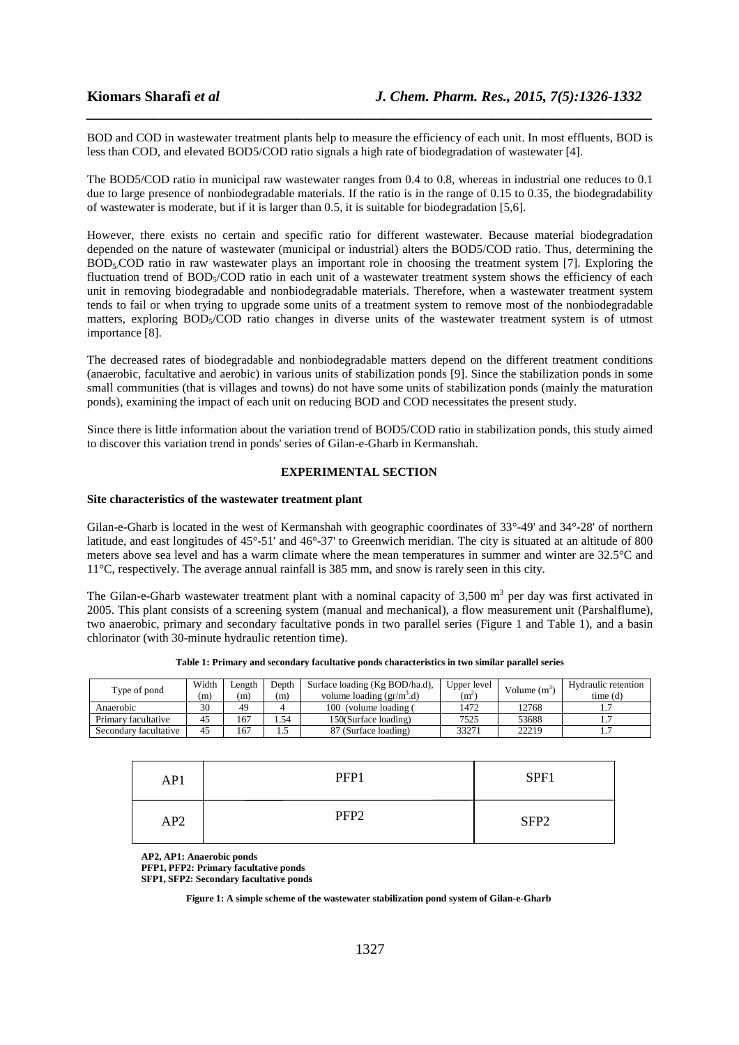BOD and COD in wastewater treatment plants help to measure the efficiency of each unit. In most effluents, BOD is less than COD, and elevated BOD5/COD ratio signals a high rate of biodegradation of wastewater [4].

*\_\_\_\_\_\_\_\_\_\_\_\_\_\_\_\_\_\_\_\_\_\_\_\_\_\_\_\_\_\_\_\_\_\_\_\_\_\_\_\_\_\_\_\_\_\_\_\_\_\_\_\_\_\_\_\_\_\_\_\_\_\_\_\_\_\_\_\_\_\_\_\_\_\_\_\_\_\_*

The BOD5/COD ratio in municipal raw wastewater ranges from 0.4 to 0.8, whereas in industrial one reduces to 0.1 due to large presence of nonbiodegradable materials. If the ratio is in the range of 0.15 to 0.35, the biodegradability of wastewater is moderate, but if it is larger than 0.5, it is suitable for biodegradation [5,6].

However, there exists no certain and specific ratio for different wastewater. Because material biodegradation depended on the nature of wastewater (municipal or industrial) alters the BOD5/COD ratio. Thus, determining the  $BOD<sub>5</sub>COD$  ratio in raw wastewater plays an important role in choosing the treatment system [7]. Exploring the fluctuation trend of BOD<sub>5</sub>/COD ratio in each unit of a wastewater treatment system shows the efficiency of each unit in removing biodegradable and nonbiodegradable materials. Therefore, when a wastewater treatment system tends to fail or when trying to upgrade some units of a treatment system to remove most of the nonbiodegradable matters, exploring BOD<sub>5</sub>/COD ratio changes in diverse units of the wastewater treatment system is of utmost importance [8].

The decreased rates of biodegradable and nonbiodegradable matters depend on the different treatment conditions (anaerobic, facultative and aerobic) in various units of stabilization ponds [9]. Since the stabilization ponds in some small communities (that is villages and towns) do not have some units of stabilization ponds (mainly the maturation ponds), examining the impact of each unit on reducing BOD and COD necessitates the present study.

Since there is little information about the variation trend of BOD5/COD ratio in stabilization ponds, this study aimed to discover this variation trend in ponds' series of Gilan-e-Gharb in Kermanshah.

## **EXPERIMENTAL SECTION**

#### **Site characteristics of the wastewater treatment plant**

Gilan-e-Gharb is located in the west of Kermanshah with geographic coordinates of 33°-49' and 34°-28' of northern latitude, and east longitudes of 45°-51' and 46°-37' to Greenwich meridian. The city is situated at an altitude of 800 meters above sea level and has a warm climate where the mean temperatures in summer and winter are 32.5°C and 11°C, respectively. The average annual rainfall is 385 mm, and snow is rarely seen in this city.

The Gilan-e-Gharb wastewater treatment plant with a nominal capacity of 3,500  $m<sup>3</sup>$  per day was first activated in 2005. This plant consists of a screening system (manual and mechanical), a flow measurement unit (Parshalflume), two anaerobic, primary and secondary facultative ponds in two parallel series (Figure 1 and Table 1), and a basin chlorinator (with 30-minute hydraulic retention time).

| Type of pond          | Width | Length | Depth | Surface loading (Kg BOD/ha.d),            | Upper level | Volume $(m^3)$ | Hydraulic retention |
|-----------------------|-------|--------|-------|-------------------------------------------|-------------|----------------|---------------------|
|                       | (m)   | m      | (m)   | volume loading $(\text{gr/m}^3 \text{d})$ | (m          |                | time(d)             |
| Anaerobic             | 30    | 49     |       | 100 (volume loading (                     | 1472        | 12768          |                     |
| Primary facultative   | 45    | 167    | .54   | 150(Surface loading)                      | 7525        | 53688          |                     |
| Secondary facultative | 45    | 167    | ن. 1  | 87 (Surface loading)                      | 33271       | 22219          |                     |

| Table 1: Primary and secondary facultative ponds characteristics in two similar parallel series |  |  |  |
|-------------------------------------------------------------------------------------------------|--|--|--|
|                                                                                                 |  |  |  |

| AP1 | PFP1             | SPF1             |
|-----|------------------|------------------|
| AP2 | PFP <sub>2</sub> | SFP <sub>2</sub> |

**AP2, AP1: Anaerobic ponds** 

**PFP1, PFP2: Primary facultative ponds** 

**SFP1, SFP2: Secondary facultative ponds**

**Figure 1: A simple scheme of the wastewater stabilization pond system of Gilan-e-Gharb**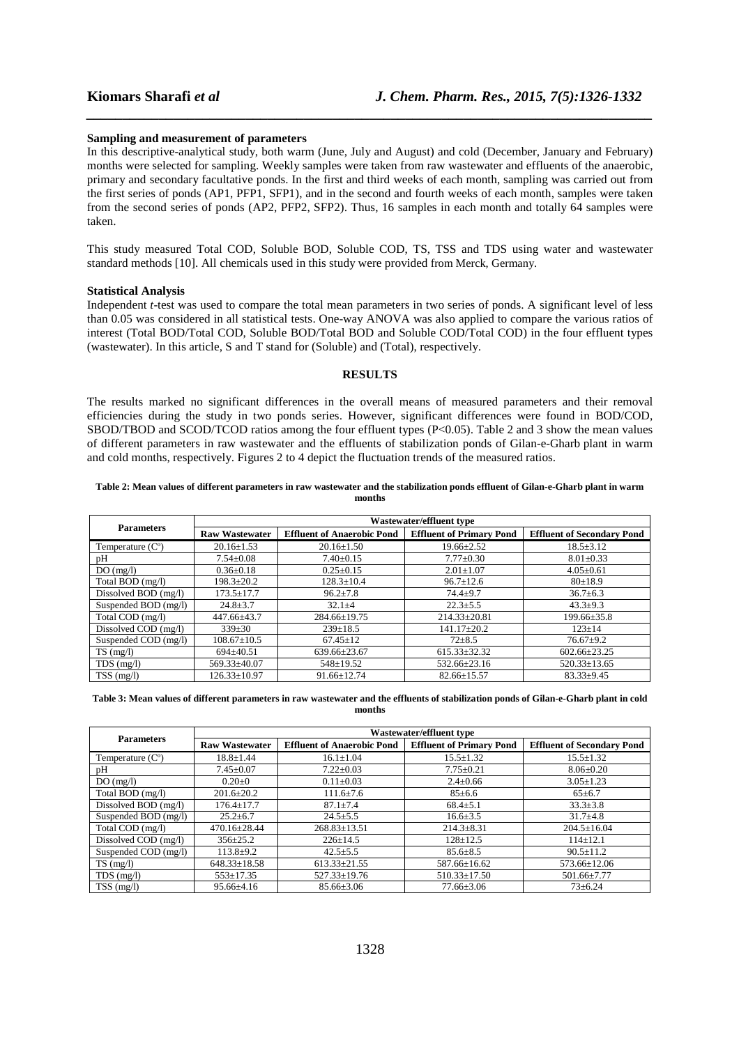#### **Sampling and measurement of parameters**

In this descriptive-analytical study, both warm (June, July and August) and cold (December, January and February) months were selected for sampling. Weekly samples were taken from raw wastewater and effluents of the anaerobic, primary and secondary facultative ponds. In the first and third weeks of each month, sampling was carried out from the first series of ponds (AP1, PFP1, SFP1), and in the second and fourth weeks of each month, samples were taken from the second series of ponds (AP2, PFP2, SFP2). Thus, 16 samples in each month and totally 64 samples were taken.

*\_\_\_\_\_\_\_\_\_\_\_\_\_\_\_\_\_\_\_\_\_\_\_\_\_\_\_\_\_\_\_\_\_\_\_\_\_\_\_\_\_\_\_\_\_\_\_\_\_\_\_\_\_\_\_\_\_\_\_\_\_\_\_\_\_\_\_\_\_\_\_\_\_\_\_\_\_\_*

This study measured Total COD, Soluble BOD, Soluble COD, TS, TSS and TDS using water and wastewater standard methods [10]. All chemicals used in this study were provided from Merck, Germany.

#### **Statistical Analysis**

Independent *t*-test was used to compare the total mean parameters in two series of ponds. A significant level of less than 0.05 was considered in all statistical tests. One-way ANOVA was also applied to compare the various ratios of interest (Total BOD/Total COD, Soluble BOD/Total BOD and Soluble COD/Total COD) in the four effluent types (wastewater). In this article, S and T stand for (Soluble) and (Total), respectively.

## **RESULTS**

The results marked no significant differences in the overall means of measured parameters and their removal efficiencies during the study in two ponds series. However, significant differences were found in BOD/COD, SBOD/TBOD and SCOD/TCOD ratios among the four effluent types (P<0.05). Table 2 and 3 show the mean values of different parameters in raw wastewater and the effluents of stabilization ponds of Gilan-e-Gharb plant in warm and cold months, respectively. Figures 2 to 4 depict the fluctuation trends of the measured ratios.

#### **Table 2: Mean values of different parameters in raw wastewater and the stabilization ponds effluent of Gilan-e-Gharb plant in warm months**

|                           | Wastewater/effluent type |                                   |                                 |                                   |  |  |
|---------------------------|--------------------------|-----------------------------------|---------------------------------|-----------------------------------|--|--|
| <b>Parameters</b>         | <b>Raw Wastewater</b>    | <b>Effluent of Anaerobic Pond</b> | <b>Effluent of Primary Pond</b> | <b>Effluent of Secondary Pond</b> |  |  |
| Temperature $(C^{\circ})$ | $20.16 \pm 1.53$         | $20.16 \pm 1.50$                  | $19.66 \pm 2.52$                | $18.5 \pm 3.12$                   |  |  |
| pН                        | $7.54 \pm 0.08$          | $7.40 \pm 0.15$                   | $7.77 \pm 0.30$                 | $8.01 \pm 0.33$                   |  |  |
| DO(mg/l)                  | $0.36 \pm 0.18$          | $0.25 \pm 0.15$                   | $2.01 \pm 1.07$                 | $4.05 \pm 0.61$                   |  |  |
| Total BOD (mg/l)          | $198.3 \pm 20.2$         | $128.3 \pm 10.4$                  | $96.7 \pm 12.6$                 | 80±18.9                           |  |  |
| Dissolved BOD (mg/l)      | $173.5 \pm 17.7$         | $96.2 \pm 7.8$                    | $74.4 + 9.7$                    | $36.7 \pm 6.3$                    |  |  |
| Suspended BOD (mg/l)      | $24.8 \pm 3.7$           | $32.1 \pm 4$                      | $22.3 \pm 5.5$                  | $43.3+9.3$                        |  |  |
| Total COD (mg/l)          | 447.66±43.7              | $284.66 \pm 19.75$                | $214.33 \pm 20.81$              | $199.66 \pm 35.8$                 |  |  |
| Dissolved COD (mg/l)      | $339 \pm 30$             | $239 \pm 18.5$                    | $141.17 \pm 20.2$               | $123 \pm 14$                      |  |  |
| Suspended COD (mg/l)      | $108.67 \pm 10.5$        | $67.45 \pm 12$                    | $72 + 8.5$                      | $76.67 \pm 9.2$                   |  |  |
| $TS \text{ (mg/l)}$       | $694 \pm 40.51$          | $639.66 \pm 23.67$                | $615.33 \pm 32.32$              | $602.66 \pm 23.25$                |  |  |
| $TDS$ (mg/l)              | $569.33 \pm 40.07$       | $548 \pm 19.52$                   | $532.66 \pm 23.16$              | $520.33 \pm 13.65$                |  |  |
| $TSS$ (mg/l)              | $126.33 + 10.97$         | $91.66 + 12.74$                   | $82.66 \pm 15.57$               | $83.33+9.45$                      |  |  |

#### **Table 3: Mean values of different parameters in raw wastewater and the effluents of stabilization ponds of Gilan-e-Gharb plant in cold months**

|                           | Wastewater/effluent type |                                   |                                 |                                   |  |  |
|---------------------------|--------------------------|-----------------------------------|---------------------------------|-----------------------------------|--|--|
| <b>Parameters</b>         | <b>Raw Wastewater</b>    | <b>Effluent of Anaerobic Pond</b> | <b>Effluent of Primary Pond</b> | <b>Effluent of Secondary Pond</b> |  |  |
| Temperature $(C^{\circ})$ | $18.8 \pm 1.44$          | $16.1 \pm 1.04$                   | $15.5 \pm 1.32$                 | $15.5 \pm 1.32$                   |  |  |
| pH                        | $7.45 \pm 0.07$          | $7.22 \pm 0.03$                   | $7.75 \pm 0.21$                 | $8.06 \pm 0.20$                   |  |  |
| DO(mg/l)                  | $0.20 \pm 0$             | $0.11 \pm 0.03$                   | $2.4 \pm 0.66$                  | $3.05 \pm 1.23$                   |  |  |
| Total BOD (mg/l)          | $201.6 \pm 20.2$         | $111.6 \pm 7.6$                   | $85 \pm 6.6$                    | $65 \pm 6.7$                      |  |  |
| Dissolved BOD (mg/l)      | $176.4 \pm 17.7$         | $87.1 \pm 7.4$                    | $68.4 \pm 5.1$                  | $33.3 \pm 3.8$                    |  |  |
| Suspended BOD (mg/l)      | $25.2 \pm 6.7$           | $24.5 \pm 5.5$                    | $16.6 \pm 3.5$                  | $31.7+4.8$                        |  |  |
| Total COD (mg/l)          | $470.16 \pm 28.44$       | $268.83 \pm 13.51$                | $214.3 \pm 8.31$                | $204.5 \pm 16.04$                 |  |  |
| Dissolved COD (mg/l)      | $356 \pm 25.2$           | $226 \pm 14.5$                    | $128 \pm 12.5$                  | $114 \pm 12.1$                    |  |  |
| Suspended COD (mg/l)      | $113.8+9.2$              | $42.5 \pm 5.5$                    | $85.6 \pm 8.5$                  | $90.5 \pm 11.2$                   |  |  |
| $TS \text{ (mg/l)}$       | $648.33 \pm 18.58$       | $613.33 \pm 21.55$                | 587.66±16.62                    | $573.66 \pm 12.06$                |  |  |
| $TDS$ (mg/l)              | $553 \pm 17.35$          | $527.33 \pm 19.76$                | $510.33 \pm 17.50$              | $501.66 \pm 7.77$                 |  |  |
| $TSS$ (mg/l)              | $95.66 \pm 4.16$         | $85.66 \pm 3.06$                  | $77.66 \pm 3.06$                | $73 \pm 6.24$                     |  |  |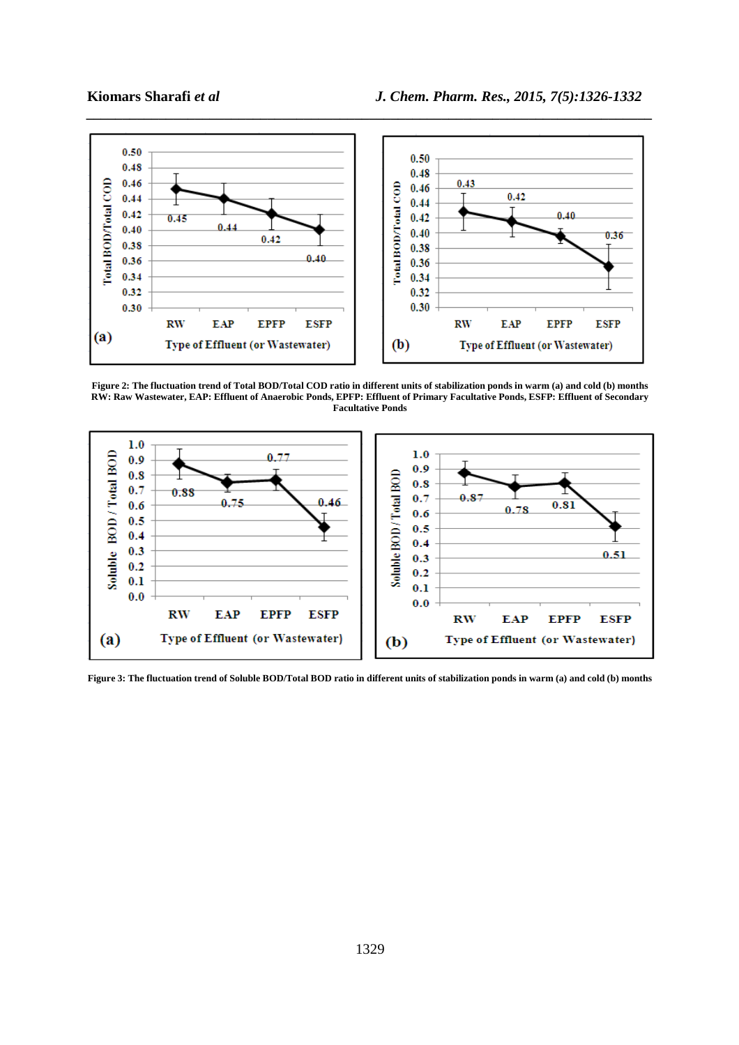

**Figure 2: The fluctuation trend of Total BOD/Total COD ratio in different units of stabilization ponds in warm (a) and cold (b) months RW: Raw Wastewater, EAP: Effluent of Anaerobic Ponds, EPFP: Effluent of Primary Facultative Ponds, ESFP: Effluent of Secondary Facultative Ponds** 



**Figure 3: The fluctuation trend of Soluble BOD/Total BOD ratio in different units of stabilization ponds in warm (a) and cold (b) months**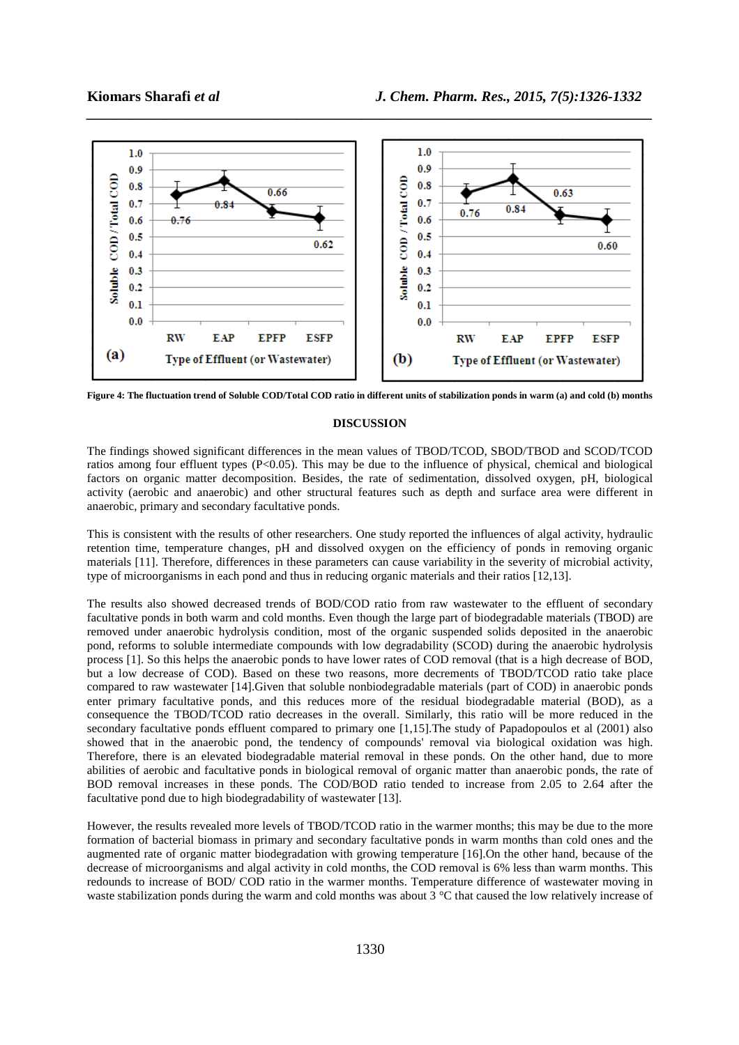

*\_\_\_\_\_\_\_\_\_\_\_\_\_\_\_\_\_\_\_\_\_\_\_\_\_\_\_\_\_\_\_\_\_\_\_\_\_\_\_\_\_\_\_\_\_\_\_\_\_\_\_\_\_\_\_\_\_\_\_\_\_\_\_\_\_\_\_\_\_\_\_\_\_\_\_\_\_\_*

**Figure 4: The fluctuation trend of Soluble COD/Total COD ratio in different units of stabilization ponds in warm (a) and cold (b) months**

### **DISCUSSION**

The findings showed significant differences in the mean values of TBOD/TCOD, SBOD/TBOD and SCOD/TCOD ratios among four effluent types  $(P<0.05)$ . This may be due to the influence of physical, chemical and biological factors on organic matter decomposition. Besides, the rate of sedimentation, dissolved oxygen, pH, biological activity (aerobic and anaerobic) and other structural features such as depth and surface area were different in anaerobic, primary and secondary facultative ponds.

This is consistent with the results of other researchers. One study reported the influences of algal activity, hydraulic retention time, temperature changes, pH and dissolved oxygen on the efficiency of ponds in removing organic materials [11]. Therefore, differences in these parameters can cause variability in the severity of microbial activity, type of microorganisms in each pond and thus in reducing organic materials and their ratios [12,13].

The results also showed decreased trends of BOD/COD ratio from raw wastewater to the effluent of secondary facultative ponds in both warm and cold months. Even though the large part of biodegradable materials (TBOD) are removed under anaerobic hydrolysis condition, most of the organic suspended solids deposited in the anaerobic pond, reforms to soluble intermediate compounds with low degradability (SCOD) during the anaerobic hydrolysis process [1]. So this helps the anaerobic ponds to have lower rates of COD removal (that is a high decrease of BOD, but a low decrease of COD). Based on these two reasons, more decrements of TBOD/TCOD ratio take place compared to raw wastewater [14].Given that soluble nonbiodegradable materials (part of COD) in anaerobic ponds enter primary facultative ponds, and this reduces more of the residual biodegradable material (BOD), as a consequence the TBOD/TCOD ratio decreases in the overall. Similarly, this ratio will be more reduced in the secondary facultative ponds effluent compared to primary one [1,15].The study of Papadopoulos et al (2001) also showed that in the anaerobic pond, the tendency of compounds' removal via biological oxidation was high. Therefore, there is an elevated biodegradable material removal in these ponds. On the other hand, due to more abilities of aerobic and facultative ponds in biological removal of organic matter than anaerobic ponds, the rate of BOD removal increases in these ponds. The COD/BOD ratio tended to increase from 2.05 to 2.64 after the facultative pond due to high biodegradability of wastewater [13].

However, the results revealed more levels of TBOD/TCOD ratio in the warmer months; this may be due to the more formation of bacterial biomass in primary and secondary facultative ponds in warm months than cold ones and the augmented rate of organic matter biodegradation with growing temperature [16].On the other hand, because of the decrease of microorganisms and algal activity in cold months, the COD removal is 6% less than warm months. This redounds to increase of BOD/ COD ratio in the warmer months. Temperature difference of wastewater moving in waste stabilization ponds during the warm and cold months was about 3 °C that caused the low relatively increase of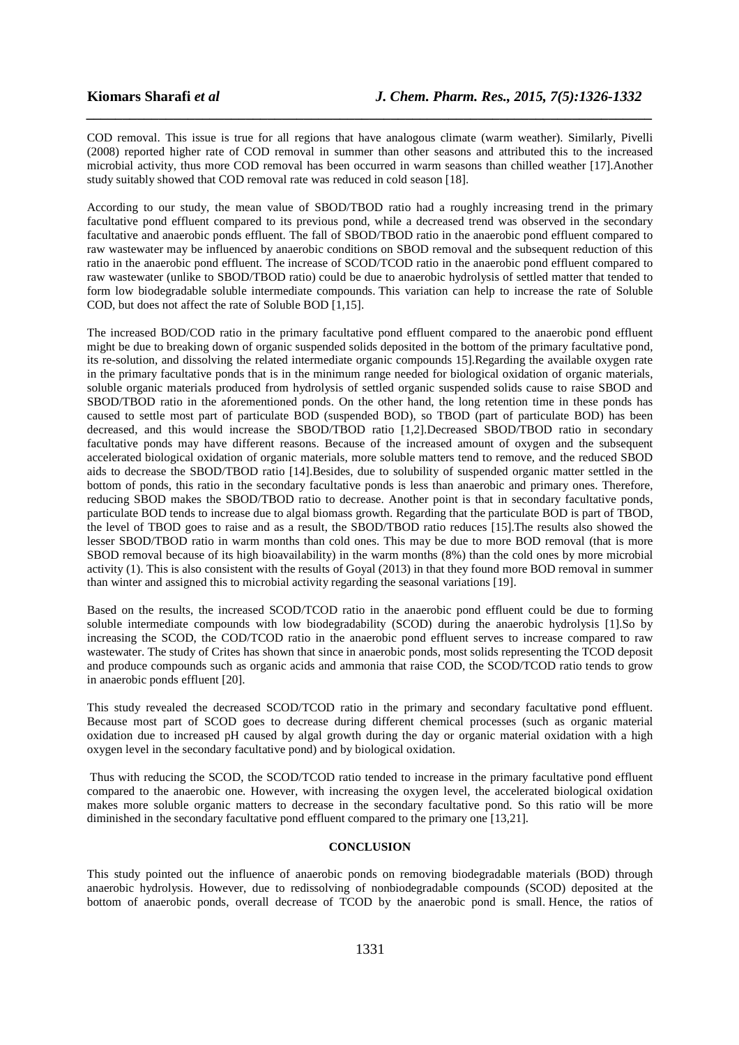COD removal. This issue is true for all regions that have analogous climate (warm weather). Similarly, Pivelli (2008) reported higher rate of COD removal in summer than other seasons and attributed this to the increased microbial activity, thus more COD removal has been occurred in warm seasons than chilled weather [17].Another study suitably showed that COD removal rate was reduced in cold season [18].

*\_\_\_\_\_\_\_\_\_\_\_\_\_\_\_\_\_\_\_\_\_\_\_\_\_\_\_\_\_\_\_\_\_\_\_\_\_\_\_\_\_\_\_\_\_\_\_\_\_\_\_\_\_\_\_\_\_\_\_\_\_\_\_\_\_\_\_\_\_\_\_\_\_\_\_\_\_\_*

According to our study, the mean value of SBOD/TBOD ratio had a roughly increasing trend in the primary facultative pond effluent compared to its previous pond, while a decreased trend was observed in the secondary facultative and anaerobic ponds effluent. The fall of SBOD/TBOD ratio in the anaerobic pond effluent compared to raw wastewater may be influenced by anaerobic conditions on SBOD removal and the subsequent reduction of this ratio in the anaerobic pond effluent. The increase of SCOD/TCOD ratio in the anaerobic pond effluent compared to raw wastewater (unlike to SBOD/TBOD ratio) could be due to anaerobic hydrolysis of settled matter that tended to form low biodegradable soluble intermediate compounds. This variation can help to increase the rate of Soluble COD, but does not affect the rate of Soluble BOD [1,15].

The increased BOD/COD ratio in the primary facultative pond effluent compared to the anaerobic pond effluent might be due to breaking down of organic suspended solids deposited in the bottom of the primary facultative pond, its re-solution, and dissolving the related intermediate organic compounds 15].Regarding the available oxygen rate in the primary facultative ponds that is in the minimum range needed for biological oxidation of organic materials, soluble organic materials produced from hydrolysis of settled organic suspended solids cause to raise SBOD and SBOD/TBOD ratio in the aforementioned ponds. On the other hand, the long retention time in these ponds has caused to settle most part of particulate BOD (suspended BOD), so TBOD (part of particulate BOD) has been decreased, and this would increase the SBOD/TBOD ratio [1,2].Decreased SBOD/TBOD ratio in secondary facultative ponds may have different reasons. Because of the increased amount of oxygen and the subsequent accelerated biological oxidation of organic materials, more soluble matters tend to remove, and the reduced SBOD aids to decrease the SBOD/TBOD ratio [14].Besides, due to solubility of suspended organic matter settled in the bottom of ponds, this ratio in the secondary facultative ponds is less than anaerobic and primary ones. Therefore, reducing SBOD makes the SBOD/TBOD ratio to decrease. Another point is that in secondary facultative ponds, particulate BOD tends to increase due to algal biomass growth. Regarding that the particulate BOD is part of TBOD, the level of TBOD goes to raise and as a result, the SBOD/TBOD ratio reduces [15].The results also showed the lesser SBOD/TBOD ratio in warm months than cold ones. This may be due to more BOD removal (that is more SBOD removal because of its high bioavailability) in the warm months (8%) than the cold ones by more microbial activity (1). This is also consistent with the results of Goyal (2013) in that they found more BOD removal in summer than winter and assigned this to microbial activity regarding the seasonal variations [19].

Based on the results, the increased SCOD/TCOD ratio in the anaerobic pond effluent could be due to forming soluble intermediate compounds with low biodegradability (SCOD) during the anaerobic hydrolysis [1].So by increasing the SCOD, the COD/TCOD ratio in the anaerobic pond effluent serves to increase compared to raw wastewater. The study of Crites has shown that since in anaerobic ponds, most solids representing the TCOD deposit and produce compounds such as organic acids and ammonia that raise COD, the SCOD/TCOD ratio tends to grow in anaerobic ponds effluent [20].

This study revealed the decreased SCOD/TCOD ratio in the primary and secondary facultative pond effluent. Because most part of SCOD goes to decrease during different chemical processes (such as organic material oxidation due to increased pH caused by algal growth during the day or organic material oxidation with a high oxygen level in the secondary facultative pond) and by biological oxidation.

 Thus with reducing the SCOD, the SCOD/TCOD ratio tended to increase in the primary facultative pond effluent compared to the anaerobic one. However, with increasing the oxygen level, the accelerated biological oxidation makes more soluble organic matters to decrease in the secondary facultative pond. So this ratio will be more diminished in the secondary facultative pond effluent compared to the primary one [13,21].

#### **CONCLUSION**

This study pointed out the influence of anaerobic ponds on removing biodegradable materials (BOD) through anaerobic hydrolysis. However, due to redissolving of nonbiodegradable compounds (SCOD) deposited at the bottom of anaerobic ponds, overall decrease of TCOD by the anaerobic pond is small. Hence, the ratios of